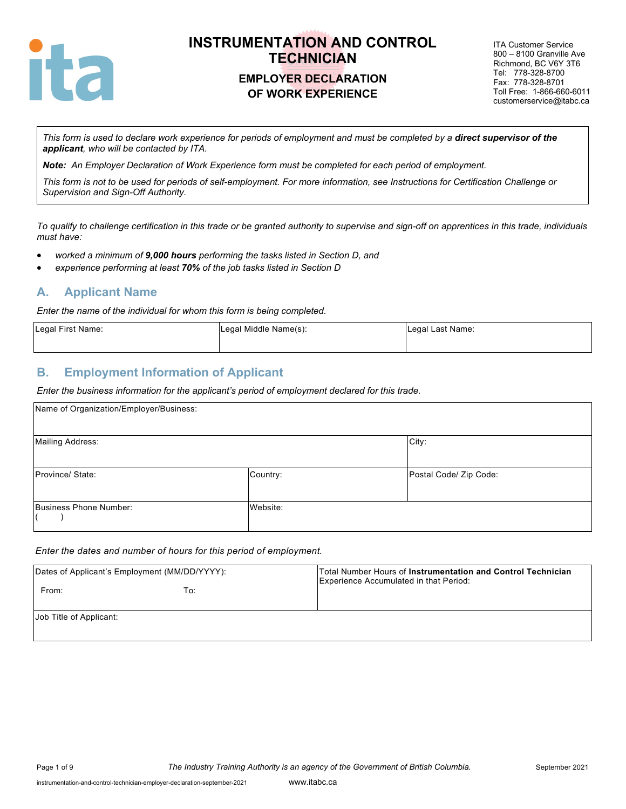

## **EMPLOYER DECLARATION OF WORK EXPERIENCE**

ITA Customer Service 800 – 8100 Granville Ave Richmond, BC V6Y 3T6 Tel: 778-328-8700 Fax: 778-328-8701 Toll Free: 1-866-660-6011 customerservice@itabc.ca

*This form is used to declare work experience for periods of employment and must be completed by a direct supervisor of the applicant, who will be contacted by ITA.*

*Note: An Employer Declaration of Work Experience form must be completed for each period of employment.*

*This form is not to be used for periods of self-employment. For more information, see Instructions for Certification Challenge or Supervision and Sign-Off Authority.*

*To qualify to challenge certification in this trade or be granted authority to supervise and sign-off on apprentices in this trade, individuals must have:*

- *worked a minimum of 9,000 hours performing the tasks listed in Section D, and*
- *experience performing at least 70% of the job tasks listed in Section D*

#### **A. Applicant Name**

*Enter the name of the individual for whom this form is being completed.*

| Legal First Name: | Legal Middle Name(s): | Legal Last Name: |
|-------------------|-----------------------|------------------|
|                   |                       |                  |

#### **B. Employment Information of Applicant**

*Enter the business information for the applicant's period of employment declared for this trade.*

| Name of Organization/Employer/Business: |          |                        |
|-----------------------------------------|----------|------------------------|
| <b>Mailing Address:</b>                 |          | City:                  |
| Province/ State:                        | Country: | Postal Code/ Zip Code: |
| Business Phone Number:                  | Website: |                        |

*Enter the dates and number of hours for this period of employment.*

| Dates of Applicant's Employment (MM/DD/YYYY): |     | Total Number Hours of Instrumentation and Control Technician<br>Experience Accumulated in that Period: |
|-----------------------------------------------|-----|--------------------------------------------------------------------------------------------------------|
| From:                                         | To: |                                                                                                        |
| Job Title of Applicant:                       |     |                                                                                                        |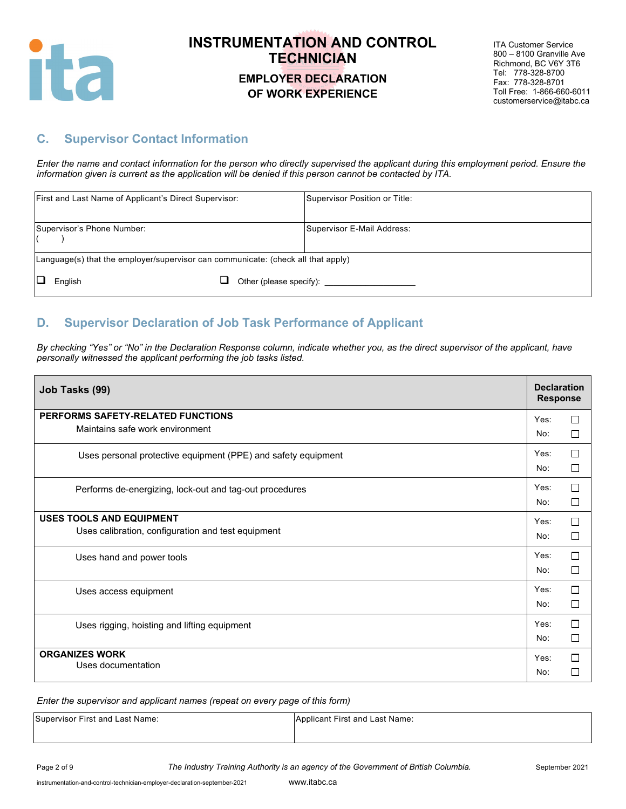

#### **EMPLOYER DECLARATION OF WORK EXPERIENCE**

ITA Customer Service 800 – 8100 Granville Ave Richmond, BC V6Y 3T6 Tel: 778-328-8700 Fax: 778-328-8701 Toll Free: 1-866-660-6011 customerservice@itabc.ca

## **C. Supervisor Contact Information**

*Enter the name and contact information for the person who directly supervised the applicant during this employment period. Ensure the information given is current as the application will be denied if this person cannot be contacted by ITA.*

|                                                                                  | First and Last Name of Applicant's Direct Supervisor: |  | Supervisor Position or Title: |
|----------------------------------------------------------------------------------|-------------------------------------------------------|--|-------------------------------|
|                                                                                  | Supervisor's Phone Number:                            |  | Supervisor E-Mail Address:    |
| Language(s) that the employer/supervisor can communicate: (check all that apply) |                                                       |  |                               |
|                                                                                  | English                                               |  |                               |

## **D. Supervisor Declaration of Job Task Performance of Applicant**

*By checking "Yes" or "No" in the Declaration Response column, indicate whether you, as the direct supervisor of the applicant, have personally witnessed the applicant performing the job tasks listed.* 

| Job Tasks (99)                                                | <b>Declaration</b><br><b>Response</b> |        |
|---------------------------------------------------------------|---------------------------------------|--------|
| PERFORMS SAFETY-RELATED FUNCTIONS                             | Yes:                                  | П      |
| Maintains safe work environment                               | No:                                   | $\Box$ |
| Uses personal protective equipment (PPE) and safety equipment | Yes:                                  | □      |
|                                                               | No:                                   | $\Box$ |
| Performs de-energizing, lock-out and tag-out procedures       | Yes:                                  | □      |
|                                                               | No:                                   | □      |
| <b>USES TOOLS AND EQUIPMENT</b>                               | Yes:                                  | П      |
| Uses calibration, configuration and test equipment            | No:                                   | □      |
| Uses hand and power tools                                     | Yes:                                  | П      |
|                                                               | No:                                   | $\Box$ |
| Uses access equipment                                         | Yes:                                  | $\Box$ |
|                                                               | No:                                   | $\Box$ |
| Uses rigging, hoisting and lifting equipment                  | Yes:                                  | $\Box$ |
|                                                               | No:                                   | □      |
| <b>ORGANIZES WORK</b>                                         | Yes:                                  | П      |
| Uses documentation                                            | No:                                   | □      |

| Supervisor First and Last Name: | Applicant First and Last Name: |
|---------------------------------|--------------------------------|
|                                 |                                |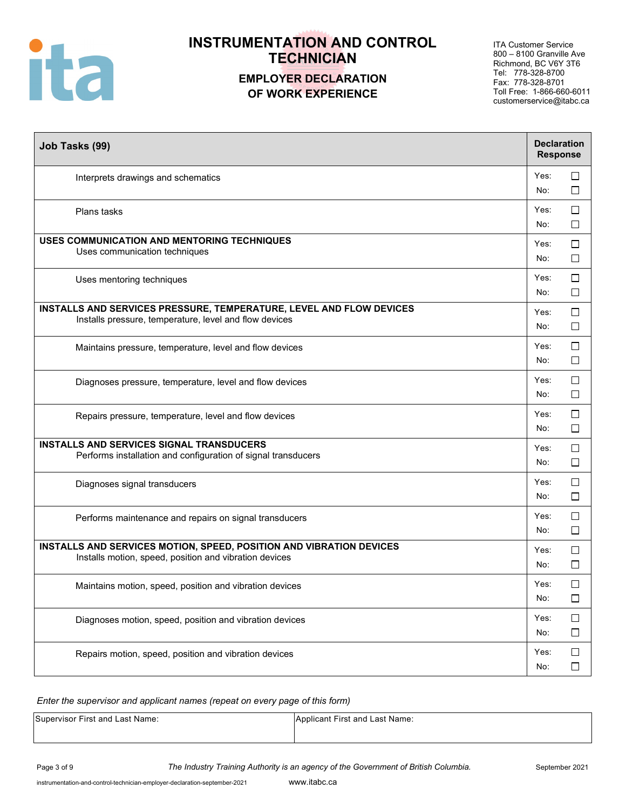

## **EMPLOYER DECLARATION OF WORK EXPERIENCE**

ITA Customer Service 800 – 8100 Granville Ave Richmond, BC V6Y 3T6 Tel: 778-328-8700 Fax: 778-328-8701 Toll Free: 1-866-660-6011 customerservice@itabc.ca

| Job Tasks (99)                                                                                                                       | <b>Declaration</b><br><b>Response</b> |                  |
|--------------------------------------------------------------------------------------------------------------------------------------|---------------------------------------|------------------|
| Interprets drawings and schematics                                                                                                   | Yes:<br>No:                           | □<br>$\Box$      |
| Plans tasks                                                                                                                          | Yes:<br>No:                           | □<br>$\Box$      |
| USES COMMUNICATION AND MENTORING TECHNIQUES<br>Uses communication techniques                                                         | Yes:<br>No:                           | $\Box$<br>□      |
| Uses mentoring techniques                                                                                                            | Yes:<br>No:                           | $\Box$<br>$\Box$ |
| INSTALLS AND SERVICES PRESSURE, TEMPERATURE, LEVEL AND FLOW DEVICES<br>Installs pressure, temperature, level and flow devices        | Yes:<br>No:                           | $\Box$<br>$\Box$ |
| Maintains pressure, temperature, level and flow devices                                                                              | Yes:<br>No:                           | □<br>$\Box$      |
| Diagnoses pressure, temperature, level and flow devices                                                                              | Yes:<br>No:                           | $\Box$<br>□      |
| Repairs pressure, temperature, level and flow devices                                                                                | Yes:<br>No:                           | $\Box$<br>$\Box$ |
| <b>INSTALLS AND SERVICES SIGNAL TRANSDUCERS</b><br>Performs installation and configuration of signal transducers                     | Yes:<br>No:                           | $\Box$<br>$\Box$ |
| Diagnoses signal transducers                                                                                                         | Yes:<br>No:                           | $\Box$<br>$\Box$ |
| Performs maintenance and repairs on signal transducers                                                                               | Yes:<br>No:                           | □<br>$\Box$      |
| <b>INSTALLS AND SERVICES MOTION, SPEED, POSITION AND VIBRATION DEVICES</b><br>Installs motion, speed, position and vibration devices | Yes:<br>No:                           | □<br>$\Box$      |
| Maintains motion, speed, position and vibration devices                                                                              | Yes:<br>No:                           | П<br>$\Box$      |
| Diagnoses motion, speed, position and vibration devices                                                                              | Yes:<br>No:                           | $\Box$<br>□      |
| Repairs motion, speed, position and vibration devices                                                                                | Yes:<br>No:                           | $\Box$<br>$\Box$ |

| Supervisor First and Last Name: | Applicant First and Last Name: |
|---------------------------------|--------------------------------|
|                                 |                                |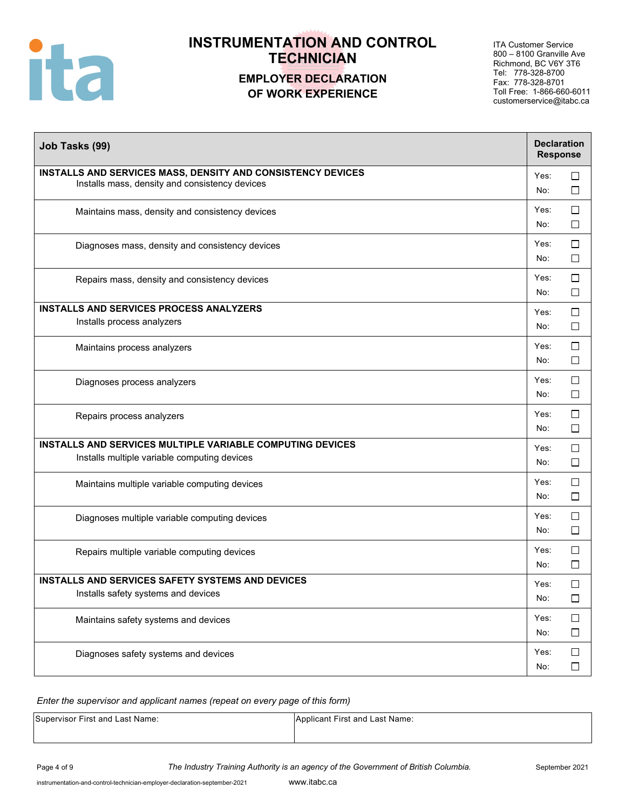

## **EMPLOYER DECLARATION OF WORK EXPERIENCE**

ITA Customer Service 800 – 8100 Granville Ave Richmond, BC V6Y 3T6 Tel: 778-328-8700 Fax: 778-328-8701 Toll Free: 1-866-660-6011 customerservice@itabc.ca

| Job Tasks (99)                                                                                                   |             | <b>Declaration</b><br><b>Response</b> |  |  |
|------------------------------------------------------------------------------------------------------------------|-------------|---------------------------------------|--|--|
| INSTALLS AND SERVICES MASS, DENSITY AND CONSISTENCY DEVICES<br>Installs mass, density and consistency devices    | Yes:<br>No: | □<br>$\Box$                           |  |  |
| Maintains mass, density and consistency devices                                                                  | Yes:<br>No: | $\Box$<br>□                           |  |  |
| Diagnoses mass, density and consistency devices                                                                  | Yes:<br>No: | $\Box$<br>$\Box$                      |  |  |
| Repairs mass, density and consistency devices                                                                    | Yes:<br>No: | $\Box$<br>$\Box$                      |  |  |
| <b>INSTALLS AND SERVICES PROCESS ANALYZERS</b><br>Installs process analyzers                                     | Yes:<br>No: | $\Box$<br>$\Box$                      |  |  |
| Maintains process analyzers                                                                                      | Yes:<br>No: | □<br>$\Box$                           |  |  |
| Diagnoses process analyzers                                                                                      | Yes:<br>No: | □<br>□                                |  |  |
| Repairs process analyzers                                                                                        | Yes:<br>No: | $\Box$<br>$\Box$                      |  |  |
| <b>INSTALLS AND SERVICES MULTIPLE VARIABLE COMPUTING DEVICES</b><br>Installs multiple variable computing devices | Yes:<br>No: | $\Box$<br>$\Box$                      |  |  |
| Maintains multiple variable computing devices                                                                    | Yes:<br>No: | $\Box$<br>$\Box$                      |  |  |
| Diagnoses multiple variable computing devices                                                                    | Yes:<br>No: | □<br>$\Box$                           |  |  |
| Repairs multiple variable computing devices                                                                      | Yes:<br>No: | $\Box$<br>□                           |  |  |
| <b>INSTALLS AND SERVICES SAFETY SYSTEMS AND DEVICES</b><br>Installs safety systems and devices                   | Yes:<br>No: | $\Box$<br>$\Box$                      |  |  |
| Maintains safety systems and devices                                                                             | Yes:<br>No: | $\Box$<br>$\Box$                      |  |  |
| Diagnoses safety systems and devices                                                                             | Yes:<br>No: | $\Box$<br>$\Box$                      |  |  |

| Supervisor First and Last Name: | Applicant First and Last Name: |
|---------------------------------|--------------------------------|
|                                 |                                |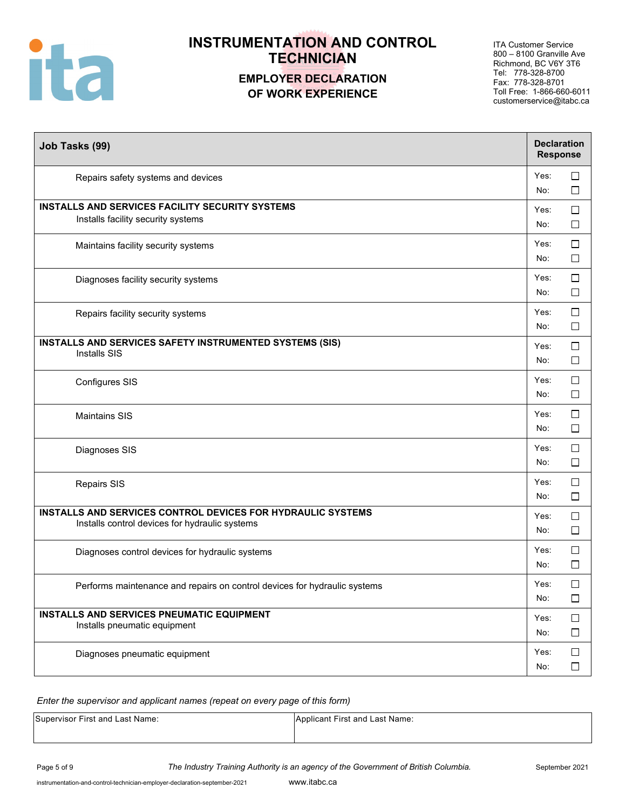

## **EMPLOYER DECLARATION OF WORK EXPERIENCE**

ITA Customer Service 800 – 8100 Granville Ave Richmond, BC V6Y 3T6 Tel: 778-328-8700 Fax: 778-328-8701 Toll Free: 1-866-660-6011 customerservice@itabc.ca

| Job Tasks (99)                                                                                                | <b>Declaration</b><br><b>Response</b> |                  |
|---------------------------------------------------------------------------------------------------------------|---------------------------------------|------------------|
| Repairs safety systems and devices                                                                            | Yes:<br>No:                           | $\Box$<br>$\Box$ |
| <b>INSTALLS AND SERVICES FACILITY SECURITY SYSTEMS</b><br>Installs facility security systems                  | Yes:<br>No:                           | $\Box$<br>$\Box$ |
| Maintains facility security systems                                                                           | Yes:<br>No:                           | $\Box$<br>$\Box$ |
| Diagnoses facility security systems                                                                           | Yes:<br>No:                           | $\Box$<br>$\Box$ |
| Repairs facility security systems                                                                             | Yes:<br>No:                           | $\Box$<br>$\Box$ |
| INSTALLS AND SERVICES SAFETY INSTRUMENTED SYSTEMS (SIS)<br>Installs SIS                                       | Yes:<br>No:                           | □<br>$\Box$      |
| Configures SIS                                                                                                | Yes:<br>No:                           | $\Box$<br>$\Box$ |
| <b>Maintains SIS</b>                                                                                          | Yes:<br>No:                           | $\Box$<br>$\Box$ |
| Diagnoses SIS                                                                                                 | Yes:<br>No:                           | $\Box$<br>$\Box$ |
| Repairs SIS                                                                                                   | Yes:<br>No:                           | $\Box$<br>$\Box$ |
| INSTALLS AND SERVICES CONTROL DEVICES FOR HYDRAULIC SYSTEMS<br>Installs control devices for hydraulic systems | Yes:<br>No:                           | $\Box$<br>$\Box$ |
| Diagnoses control devices for hydraulic systems                                                               | Yes:<br>No:                           | $\Box$<br>$\Box$ |
| Performs maintenance and repairs on control devices for hydraulic systems                                     | Yes:<br>No:                           | □<br>$\Box$      |
| <b>INSTALLS AND SERVICES PNEUMATIC EQUIPMENT</b><br>Installs pneumatic equipment                              | Yes:<br>No:                           | $\Box$<br>$\Box$ |
| Diagnoses pneumatic equipment                                                                                 | Yes:<br>No:                           | $\Box$<br>$\Box$ |

| Supervisor First and Last Name: | Applicant First and Last Name: |
|---------------------------------|--------------------------------|
|                                 |                                |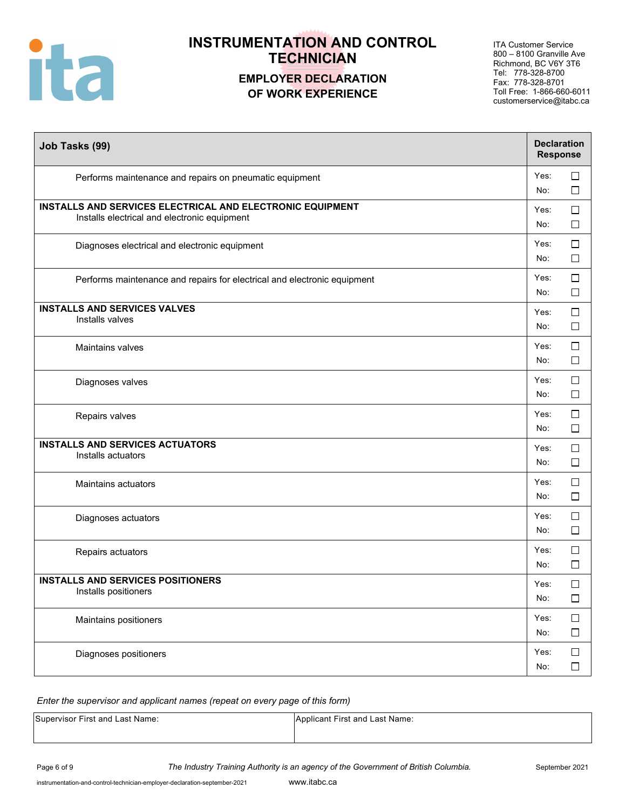

## **EMPLOYER DECLARATION OF WORK EXPERIENCE**

ITA Customer Service 800 – 8100 Granville Ave Richmond, BC V6Y 3T6 Tel: 778-328-8700 Fax: 778-328-8701 Toll Free: 1-866-660-6011 customerservice@itabc.ca

| Job Tasks (99)                                                                                            | <b>Declaration</b><br><b>Response</b> |                  |
|-----------------------------------------------------------------------------------------------------------|---------------------------------------|------------------|
| Performs maintenance and repairs on pneumatic equipment                                                   | Yes:<br>No:                           | $\Box$<br>$\Box$ |
| INSTALLS AND SERVICES ELECTRICAL AND ELECTRONIC EQUIPMENT<br>Installs electrical and electronic equipment | Yes:<br>No:                           | $\Box$<br>$\Box$ |
| Diagnoses electrical and electronic equipment                                                             | Yes:<br>No:                           | $\Box$<br>$\Box$ |
| Performs maintenance and repairs for electrical and electronic equipment                                  | Yes:<br>No:                           | $\Box$<br>$\Box$ |
| <b>INSTALLS AND SERVICES VALVES</b><br>Installs valves                                                    | Yes:<br>No:                           | $\Box$<br>$\Box$ |
| <b>Maintains valves</b>                                                                                   | Yes:<br>No:                           | $\Box$<br>$\Box$ |
| Diagnoses valves                                                                                          | Yes:<br>No:                           | $\Box$<br>$\Box$ |
| Repairs valves                                                                                            | Yes:<br>No:                           | $\Box$<br>$\Box$ |
| <b>INSTALLS AND SERVICES ACTUATORS</b><br>Installs actuators                                              | Yes:<br>No:                           | $\Box$<br>$\Box$ |
| Maintains actuators                                                                                       | Yes:<br>No:                           | $\Box$<br>$\Box$ |
| Diagnoses actuators                                                                                       | Yes:<br>No:                           | $\Box$<br>$\Box$ |
| Repairs actuators                                                                                         | Yes:<br>No:                           | $\Box$<br>$\Box$ |
| <b>INSTALLS AND SERVICES POSITIONERS</b><br>Installs positioners                                          | Yes:<br>No:                           | $\Box$<br>$\Box$ |
| Maintains positioners                                                                                     | Yes:<br>No:                           | $\Box$<br>$\Box$ |
| Diagnoses positioners                                                                                     | Yes:<br>No:                           | $\Box$<br>$\Box$ |

| Supervisor First and Last Name: | Applicant First and Last Name: |
|---------------------------------|--------------------------------|
|                                 |                                |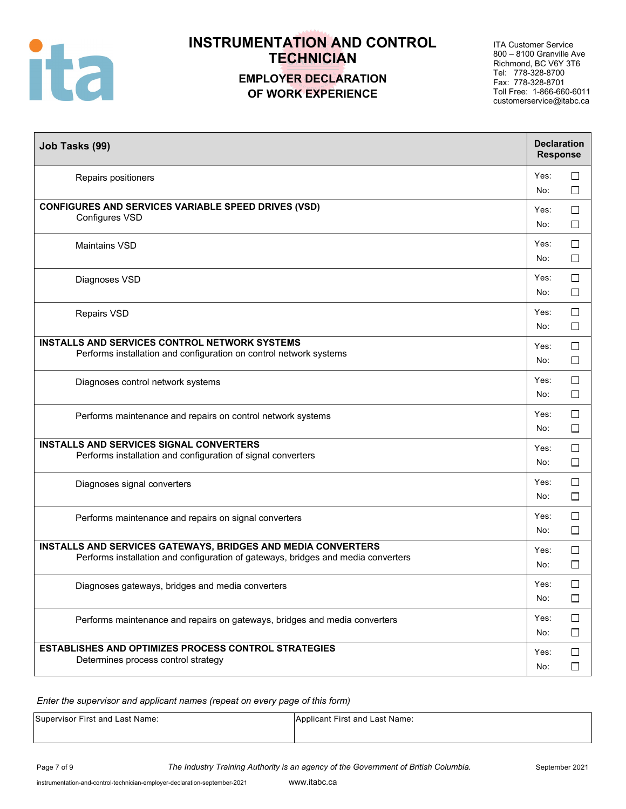

## **EMPLOYER DECLARATION OF WORK EXPERIENCE**

ITA Customer Service 800 – 8100 Granville Ave Richmond, BC V6Y 3T6 Tel: 778-328-8700 Fax: 778-328-8701 Toll Free: 1-866-660-6011 customerservice@itabc.ca

| Job Tasks (99)                                                                                                                                    | <b>Declaration</b><br><b>Response</b> |                  |
|---------------------------------------------------------------------------------------------------------------------------------------------------|---------------------------------------|------------------|
| Repairs positioners                                                                                                                               | Yes:<br>No:                           | $\Box$<br>$\Box$ |
| <b>CONFIGURES AND SERVICES VARIABLE SPEED DRIVES (VSD)</b><br>Configures VSD                                                                      | Yes:<br>No:                           | $\Box$<br>$\Box$ |
| <b>Maintains VSD</b>                                                                                                                              | Yes:<br>No:                           | $\Box$<br>$\Box$ |
| Diagnoses VSD                                                                                                                                     | Yes:<br>No:                           | $\Box$<br>□      |
| <b>Repairs VSD</b>                                                                                                                                | Yes:<br>No:                           | $\Box$<br>$\Box$ |
| <b>INSTALLS AND SERVICES CONTROL NETWORK SYSTEMS</b><br>Performs installation and configuration on control network systems                        | Yes:<br>No:                           | □<br>$\Box$      |
| Diagnoses control network systems                                                                                                                 | Yes:<br>No:                           | $\Box$<br>$\Box$ |
| Performs maintenance and repairs on control network systems                                                                                       | Yes:<br>No:                           | $\Box$<br>$\Box$ |
| <b>INSTALLS AND SERVICES SIGNAL CONVERTERS</b><br>Performs installation and configuration of signal converters                                    | Yes:<br>No:                           | $\Box$<br>$\Box$ |
| Diagnoses signal converters                                                                                                                       | Yes:<br>No:                           | $\Box$<br>$\Box$ |
| Performs maintenance and repairs on signal converters                                                                                             | Yes:<br>No:                           | $\Box$<br>$\Box$ |
| INSTALLS AND SERVICES GATEWAYS, BRIDGES AND MEDIA CONVERTERS<br>Performs installation and configuration of gateways, bridges and media converters | Yes:<br>No:                           | $\Box$<br>$\Box$ |
| Diagnoses gateways, bridges and media converters                                                                                                  | Yes:<br>No:                           | $\Box$<br>$\Box$ |
| Performs maintenance and repairs on gateways, bridges and media converters                                                                        | Yes:<br>No:                           | $\Box$<br>□      |
| ESTABLISHES AND OPTIMIZES PROCESS CONTROL STRATEGIES<br>Determines process control strategy                                                       | Yes:<br>No:                           | $\Box$<br>$\Box$ |

*Enter the supervisor and applicant names (repeat on every page of this form)*

Supervisor First and Last Name: Applicant First and Last Name: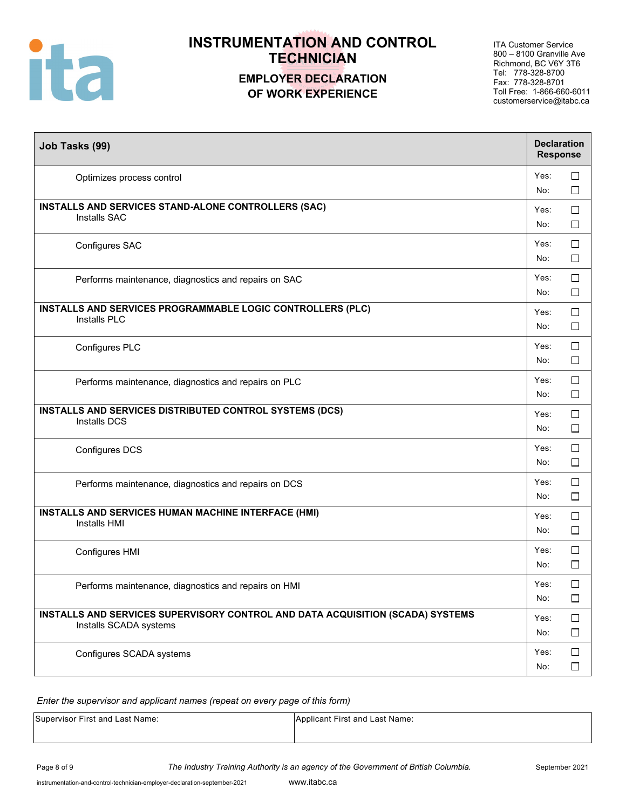

## **EMPLOYER DECLARATION OF WORK EXPERIENCE**

ITA Customer Service 800 – 8100 Granville Ave Richmond, BC V6Y 3T6 Tel: 778-328-8700 Fax: 778-328-8701 Toll Free: 1-866-660-6011 customerservice@itabc.ca

| Job Tasks (99)                                                                                           | <b>Declaration</b><br><b>Response</b> |                  |
|----------------------------------------------------------------------------------------------------------|---------------------------------------|------------------|
| Optimizes process control                                                                                | Yes:<br>No:                           | $\Box$<br>$\Box$ |
| INSTALLS AND SERVICES STAND-ALONE CONTROLLERS (SAC)<br><b>Installs SAC</b>                               | Yes:<br>No:                           | $\Box$<br>$\Box$ |
| Configures SAC                                                                                           | Yes:<br>No:                           | $\Box$<br>$\Box$ |
| Performs maintenance, diagnostics and repairs on SAC                                                     | Yes:<br>No:                           | $\Box$<br>$\Box$ |
| INSTALLS AND SERVICES PROGRAMMABLE LOGIC CONTROLLERS (PLC)<br>Installs PLC                               | Yes:<br>No:                           | $\Box$<br>$\Box$ |
| Configures PLC                                                                                           | Yes:<br>No:                           | □<br>$\Box$      |
| Performs maintenance, diagnostics and repairs on PLC                                                     | Yes:<br>No:                           | $\Box$<br>$\Box$ |
| INSTALLS AND SERVICES DISTRIBUTED CONTROL SYSTEMS (DCS)<br>Installs DCS                                  | Yes:<br>No:                           | $\Box$<br>$\Box$ |
| Configures DCS                                                                                           | Yes:<br>No:                           | $\Box$<br>$\Box$ |
| Performs maintenance, diagnostics and repairs on DCS                                                     | Yes:<br>No:                           | □<br>$\Box$      |
| INSTALLS AND SERVICES HUMAN MACHINE INTERFACE (HMI)<br><b>Installs HMI</b>                               | Yes:<br>No:                           | $\Box$<br>□      |
| Configures HMI                                                                                           | Yes:<br>No:                           | $\Box$<br>$\Box$ |
| Performs maintenance, diagnostics and repairs on HMI                                                     | Yes:<br>No:                           | $\Box$<br>$\Box$ |
| INSTALLS AND SERVICES SUPERVISORY CONTROL AND DATA ACQUISITION (SCADA) SYSTEMS<br>Installs SCADA systems | Yes:<br>No:                           | $\Box$<br>$\Box$ |
| Configures SCADA systems                                                                                 | Yes:<br>No:                           | $\Box$<br>$\Box$ |

| Supervisor First and Last Name: | Applicant First and Last Name: |
|---------------------------------|--------------------------------|
|                                 |                                |